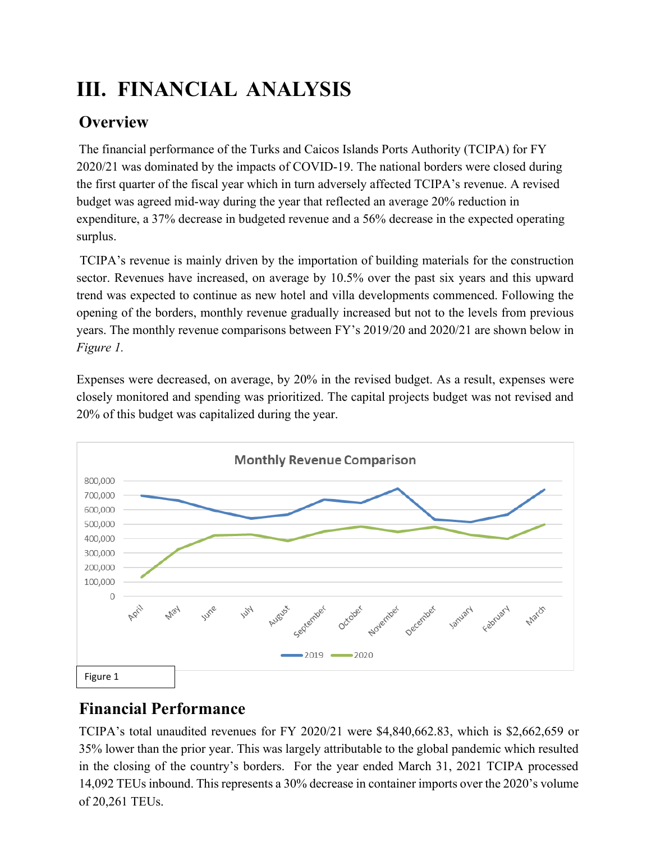# **III. FINANCIAL ANALYSIS**

# **Overview**

The financial performance of the Turks and Caicos Islands Ports Authority (TCIPA) for FY 2020/21 was dominated by the impacts of COVID-19. The national borders were closed during the first quarter of the fiscal year which in turn adversely affected TCIPA's revenue. A revised budget was agreed mid-way during the year that reflected an average 20% reduction in expenditure, a 37% decrease in budgeted revenue and a 56% decrease in the expected operating surplus.

TCIPA's revenue is mainly driven by the importation of building materials for the construction sector. Revenues have increased, on average by 10.5% over the past six years and this upward trend was expected to continue as new hotel and villa developments commenced. Following the opening of the borders, monthly revenue gradually increased but not to the levels from previous years. The monthly revenue comparisons between FY's 2019/20 and 2020/21 are shown below in *Figure 1.*

Expenses were decreased, on average, by 20% in the revised budget. As a result, expenses were closely monitored and spending was prioritized. The capital projects budget was not revised and 20% of this budget was capitalized during the year.



# **Financial Performance**

TCIPA's total unaudited revenues for FY 2020/21 were \$4,840,662.83, which is \$2,662,659 or 35% lower than the prior year. This was largely attributable to the global pandemic which resulted in the closing of the country's borders. For the year ended March 31, 2021 TCIPA processed 14,092 TEUs inbound. This represents a 30% decrease in container imports over the 2020's volume of 20,261 TEUs.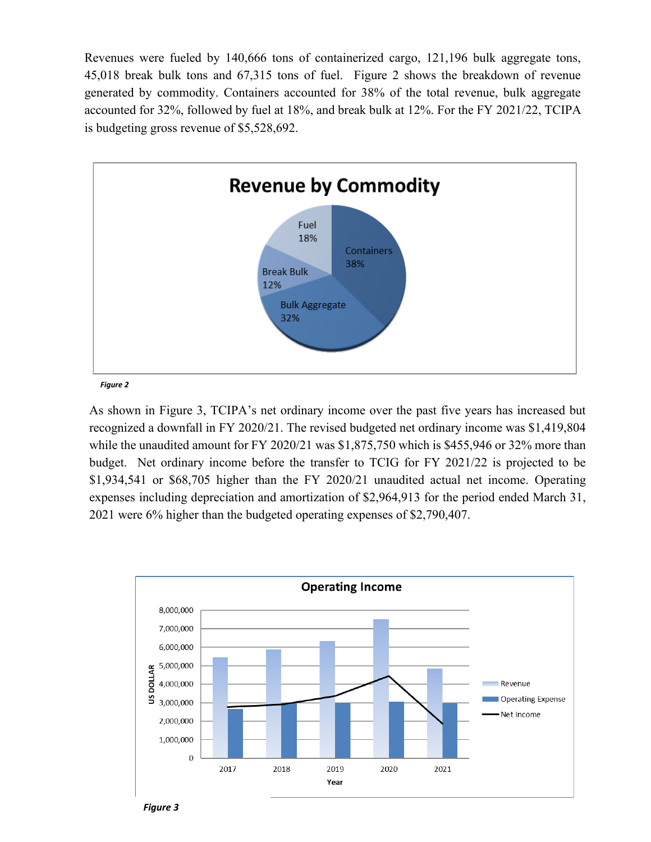Revenues were fueled by 140,666 tons of containerized cargo, 121,196 bulk aggregate tons, 45,018 break bulk tons and 67,315 tons of fuel. Figure 2 shows the breakdown of revenue generated by commodity. Containers accounted for 38% of the total revenue, bulk aggregate accounted for 32%, followed by fuel at 18%, and break bulk at 12%. For the FY 2021/22, TCIPA is budgeting gross revenue of \$5,528,692.



*Figure 2*

As shown in Figure 3, TCIPA's net ordinary income over the past five years has increased but recognized a downfall in FY 2020/21. The revised budgeted net ordinary income was \$1,419,804 while the unaudited amount for FY 2020/21 was \$1,875,750 which is \$455,946 or 32% more than budget. Net ordinary income before the transfer to TCIG for FY 2021/22 is projected to be \$1,934,541 or \$68,705 higher than the FY 2020/21 unaudited actual net income. Operating expenses including depreciation and amortization of \$2,964,913 for the period ended March 31, 2021 were 6% higher than the budgeted operating expenses of \$2,790,407.



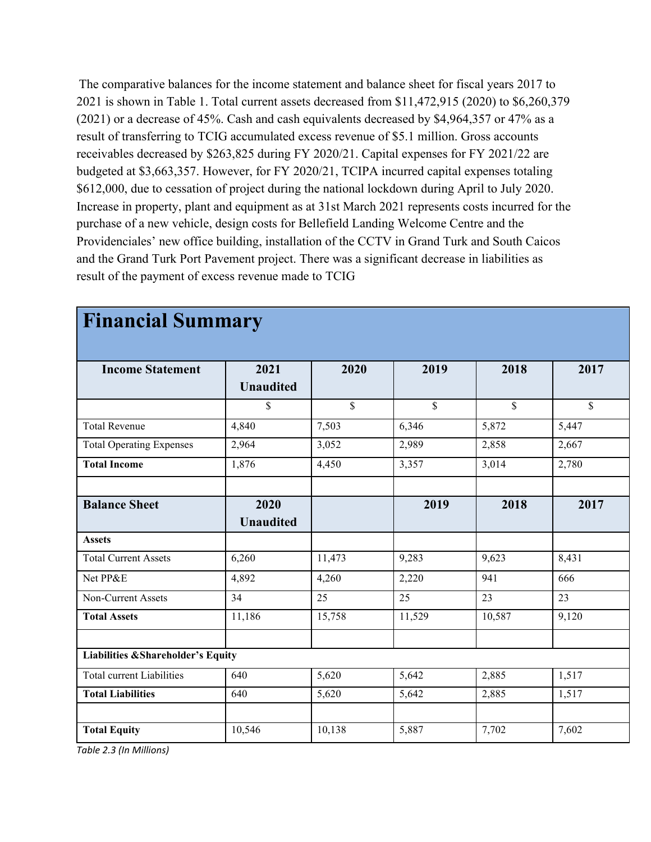The comparative balances for the income statement and balance sheet for fiscal years 2017 to 2021 is shown in Table 1. Total current assets decreased from \$11,472,915 (2020) to \$6,260,379 (2021) or a decrease of 45%. Cash and cash equivalents decreased by \$4,964,357 or 47% as a result of transferring to TCIG accumulated excess revenue of \$5.1 million. Gross accounts receivables decreased by \$263,825 during FY 2020/21. Capital expenses for FY 2021/22 are budgeted at \$3,663,357. However, for FY 2020/21, TCIPA incurred capital expenses totaling \$612,000, due to cessation of project during the national lockdown during April to July 2020. Increase in property, plant and equipment as at 31st March 2021 represents costs incurred for the purchase of a new vehicle, design costs for Bellefield Landing Welcome Centre and the Providenciales' new office building, installation of the CCTV in Grand Turk and South Caicos and the Grand Turk Port Pavement project. There was a significant decrease in liabilities as result of the payment of excess revenue made to TCIG

| <b>Financial Summary</b>                     |                          |        |               |              |                    |
|----------------------------------------------|--------------------------|--------|---------------|--------------|--------------------|
| <b>Income Statement</b>                      | 2021<br><b>Unaudited</b> | 2020   | 2019          | 2018         | 2017               |
|                                              | \$                       | \$     | $\mathcal{S}$ | $\mathbb{S}$ | \$                 |
| <b>Total Revenue</b>                         | 4,840                    | 7,503  | 6,346         | 5,872        | $\overline{5,}447$ |
| <b>Total Operating Expenses</b>              | 2,964                    | 3,052  | 2,989         | 2,858        | 2,667              |
| <b>Total Income</b>                          | 1,876                    | 4,450  | 3,357         | 3,014        | 2,780              |
| <b>Balance Sheet</b>                         | 2020<br><b>Unaudited</b> |        | 2019          | 2018         | 2017               |
| <b>Assets</b>                                |                          |        |               |              |                    |
| <b>Total Current Assets</b>                  | 6,260                    | 11,473 | 9,283         | 9,623        | 8,431              |
| Net PP&E                                     | 4,892                    | 4,260  | 2,220         | 941          | 666                |
| Non-Current Assets                           | 34                       | 25     | 25            | 23           | 23                 |
| <b>Total Assets</b>                          | 11,186                   | 15,758 | 11,529        | 10,587       | 9,120              |
| <b>Liabilities &amp;Shareholder's Equity</b> |                          |        |               |              |                    |
| <b>Total current Liabilities</b>             | 640                      | 5,620  | 5,642         | 2,885        | 1,517              |
| <b>Total Liabilities</b>                     | 640                      | 5,620  | 5,642         | 2,885        | 1,517              |
| <b>Total Equity</b>                          | 10,546                   | 10,138 | 5,887         | 7,702        | 7,602              |

# **Financial Summary**

*Table 2.3 (In Millions)*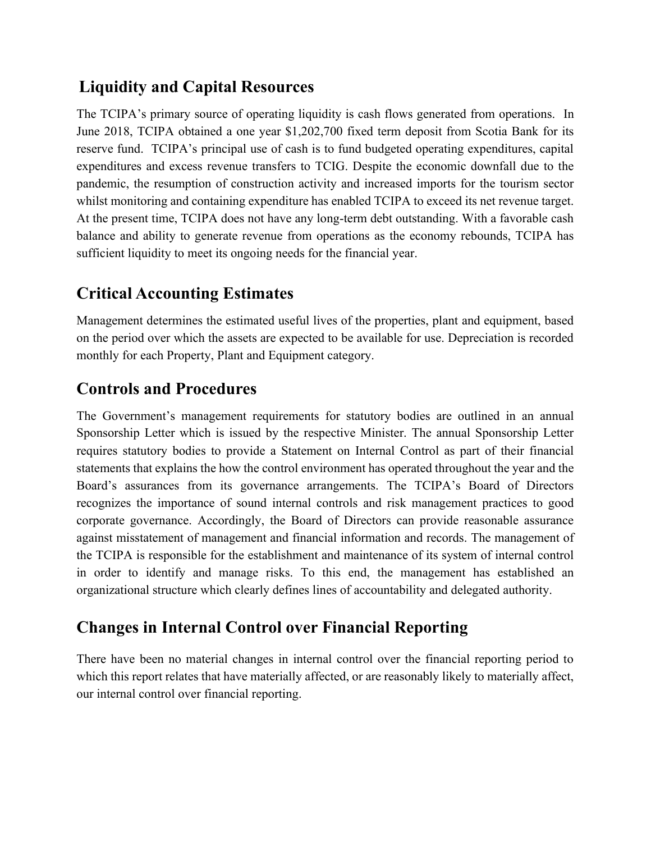#### **Liquidity and Capital Resources**

The TCIPA's primary source of operating liquidity is cash flows generated from operations. In June 2018, TCIPA obtained a one year \$1,202,700 fixed term deposit from Scotia Bank for its reserve fund. TCIPA's principal use of cash is to fund budgeted operating expenditures, capital expenditures and excess revenue transfers to TCIG. Despite the economic downfall due to the pandemic, the resumption of construction activity and increased imports for the tourism sector whilst monitoring and containing expenditure has enabled TCIPA to exceed its net revenue target. At the present time, TCIPA does not have any long-term debt outstanding. With a favorable cash balance and ability to generate revenue from operations as the economy rebounds, TCIPA has sufficient liquidity to meet its ongoing needs for the financial year.

## **Critical Accounting Estimates**

Management determines the estimated useful lives of the properties, plant and equipment, based on the period over which the assets are expected to be available for use. Depreciation is recorded monthly for each Property, Plant and Equipment category.

#### **Controls and Procedures**

The Government's management requirements for statutory bodies are outlined in an annual Sponsorship Letter which is issued by the respective Minister. The annual Sponsorship Letter requires statutory bodies to provide a Statement on Internal Control as part of their financial statements that explains the how the control environment has operated throughout the year and the Board's assurances from its governance arrangements. The TCIPA's Board of Directors recognizes the importance of sound internal controls and risk management practices to good corporate governance. Accordingly, the Board of Directors can provide reasonable assurance against misstatement of management and financial information and records. The management of the TCIPA is responsible for the establishment and maintenance of its system of internal control in order to identify and manage risks. To this end, the management has established an organizational structure which clearly defines lines of accountability and delegated authority.

## **Changes in Internal Control over Financial Reporting**

There have been no material changes in internal control over the financial reporting period to which this report relates that have materially affected, or are reasonably likely to materially affect, our internal control over financial reporting.